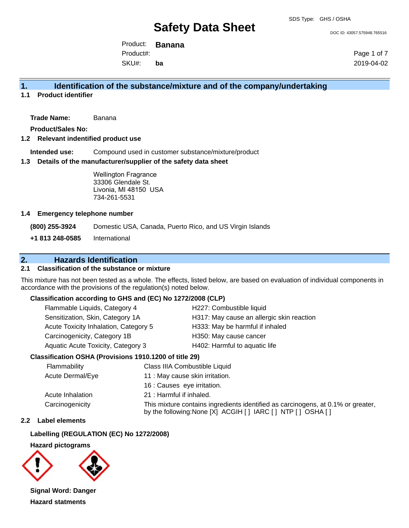DOC ID: 43057.575948.765516

Product: **Banana** Product#:

SKU#: **ba** Page 1 of 7 2019-04-02

## **1. Identification of the substance/mixture and of the company/undertaking**

**1.1 Product identifier**

**Trade Name:** Banana

**Product/Sales No:**

#### **1.2 Relevant indentified product use**

**Intended use:** Compound used in customer substance/mixture/product

#### **1.3 Details of the manufacturer/supplier of the safety data sheet**

Wellington Fragrance 33306 Glendale St. Livonia, MI 48150 USA 734-261-5531

#### **1.4 Emergency telephone number**

**(800) 255-3924** Domestic USA, Canada, Puerto Rico, and US Virgin Islands

**+1 813 248-0585** International

## **2. Hazards Identification**

## **2.1 Classification of the substance or mixture**

This mixture has not been tested as a whole. The effects, listed below, are based on evaluation of individual components in accordance with the provisions of the regulation(s) noted below.

#### **Classification according to GHS and (EC) No 1272/2008 (CLP)**

| Flammable Liquids, Category 4         | H227: Combustible liquid                  |
|---------------------------------------|-------------------------------------------|
| Sensitization, Skin, Category 1A      | H317: May cause an allergic skin reaction |
| Acute Toxicity Inhalation, Category 5 | H333: May be harmful if inhaled           |
| Carcinogenicity, Category 1B          | H350: May cause cancer                    |
| Aquatic Acute Toxicity, Category 3    | H402: Harmful to aquatic life             |

#### **Classification OSHA (Provisions 1910.1200 of title 29)**

| Flammability     | Class IIIA Combustible Liquid                                                                                                                      |
|------------------|----------------------------------------------------------------------------------------------------------------------------------------------------|
| Acute Dermal/Eye | 11 : May cause skin irritation.                                                                                                                    |
|                  | 16 : Causes eye irritation.                                                                                                                        |
| Acute Inhalation | 21 : Harmful if inhaled.                                                                                                                           |
| Carcinogenicity  | This mixture contains ingredients identified as carcinogens, at 0.1% or greater,<br>by the following: None [X] ACGIH [ ] IARC [ ] NTP [ ] OSHA [ ] |

#### **2.2 Label elements**

## **Labelling (REGULATION (EC) No 1272/2008)**

## **Hazard pictograms**



**Signal Word: Danger Hazard statments**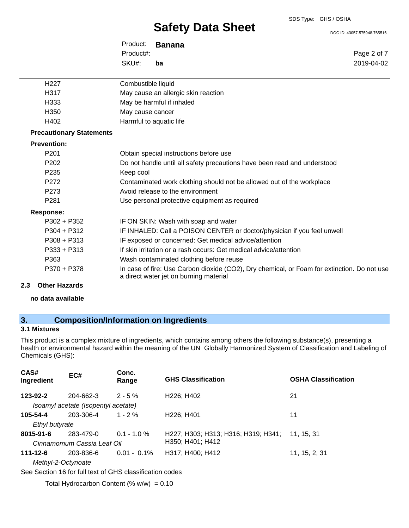DOC ID: 43057.575948.765516

Page 2 of 7 2019-04-02

Product: **Banana** SKU#: Product#: **ba**

| H <sub>22</sub> 7               | Combustible liquid                                                                                                                    |
|---------------------------------|---------------------------------------------------------------------------------------------------------------------------------------|
| H317                            | May cause an allergic skin reaction                                                                                                   |
| H333                            | May be harmful if inhaled                                                                                                             |
| H350                            | May cause cancer                                                                                                                      |
| H402                            | Harmful to aquatic life                                                                                                               |
| <b>Precautionary Statements</b> |                                                                                                                                       |
| <b>Prevention:</b>              |                                                                                                                                       |
| P <sub>201</sub>                | Obtain special instructions before use                                                                                                |
| P <sub>202</sub>                | Do not handle until all safety precautions have been read and understood                                                              |
| P <sub>235</sub>                | Keep cool                                                                                                                             |
| P272                            | Contaminated work clothing should not be allowed out of the workplace                                                                 |
| P273                            | Avoid release to the environment                                                                                                      |
| P <sub>281</sub>                | Use personal protective equipment as required                                                                                         |
| <b>Response:</b>                |                                                                                                                                       |
| $P302 + P352$                   | IF ON SKIN: Wash with soap and water                                                                                                  |
| $P304 + P312$                   | IF INHALED: Call a POISON CENTER or doctor/physician if you feel unwell                                                               |
| $P308 + P313$                   | IF exposed or concerned: Get medical advice/attention                                                                                 |
| $P333 + P313$                   | If skin irritation or a rash occurs: Get medical advice/attention                                                                     |
| P363                            | Wash contaminated clothing before reuse                                                                                               |
| P370 + P378                     | In case of fire: Use Carbon dioxide (CO2), Dry chemical, or Foam for extinction. Do not use<br>a direct water jet on burning material |

#### **2.3 Other Hazards**

**no data available**

## **3. Composition/Information on Ingredients**

## **3.1 Mixtures**

This product is a complex mixture of ingredients, which contains among others the following substance(s), presenting a health or environmental hazard within the meaning of the UN Globally Harmonized System of Classification and Labeling of Chemicals (GHS):

| CAS#<br>Ingredient | EC#                                 | Conc.<br>Range | <b>GHS Classification</b>           | <b>OSHA Classification</b> |
|--------------------|-------------------------------------|----------------|-------------------------------------|----------------------------|
| 123-92-2           | 204-662-3                           | $2 - 5 \%$     | H <sub>226</sub> : H <sub>402</sub> | 21                         |
|                    | Isoamyl acetate (Isopentyl acetate) |                |                                     |                            |
| 105-54-4           | 203-306-4                           | $1 - 2\%$      | H <sub>226</sub> : H <sub>401</sub> | 11                         |
| Ethyl butyrate     |                                     |                |                                     |                            |
| 8015-91-6          | 283-479-0                           | $0.1 - 1.0 \%$ | H227; H303; H313; H316; H319; H341; | 11. 15. 31                 |
|                    | Cinnamomum Cassia Leaf Oil          |                | H350; H401; H412                    |                            |
| $111 - 12 - 6$     | 203-836-6                           | $0.01 - 0.1\%$ | H317; H400; H412                    | 11, 15, 2, 31              |
| Methyl-2-Octynoate |                                     |                |                                     |                            |

See Section 16 for full text of GHS classification codes

Total Hydrocarbon Content (%  $w/w$ ) = 0.10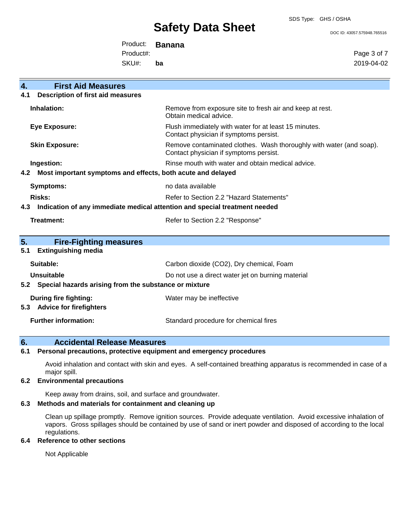DOC ID: 43057.575948.765516

Product: **Banana**

Product#:

SKU#: **ba** Page 3 of 7 2019-04-02

| 4.             | <b>First Aid Measures</b>                                                  |                                                                                                               |
|----------------|----------------------------------------------------------------------------|---------------------------------------------------------------------------------------------------------------|
| 4.1            | Description of first aid measures                                          |                                                                                                               |
|                | Inhalation:                                                                | Remove from exposure site to fresh air and keep at rest.<br>Obtain medical advice.                            |
|                | Eye Exposure:                                                              | Flush immediately with water for at least 15 minutes.<br>Contact physician if symptoms persist.               |
|                | <b>Skin Exposure:</b>                                                      | Remove contaminated clothes. Wash thoroughly with water (and soap).<br>Contact physician if symptoms persist. |
|                | Ingestion:                                                                 | Rinse mouth with water and obtain medical advice.                                                             |
| 4.2            | Most important symptoms and effects, both acute and delayed                |                                                                                                               |
|                | <b>Symptoms:</b>                                                           | no data available                                                                                             |
|                | Risks:                                                                     | Refer to Section 2.2 "Hazard Statements"                                                                      |
|                |                                                                            |                                                                                                               |
| 4.3            | Indication of any immediate medical attention and special treatment needed |                                                                                                               |
|                | Treatment:                                                                 | Refer to Section 2.2 "Response"                                                                               |
|                |                                                                            |                                                                                                               |
| 5 <sub>1</sub> | <b>Fire-Fighting measures</b>                                              |                                                                                                               |
| 5.1            | <b>Extinguishing media</b>                                                 |                                                                                                               |
|                | Suitable:                                                                  | Carbon dioxide (CO2), Dry chemical, Foam                                                                      |
|                | <b>Unsuitable</b>                                                          | Do not use a direct water jet on burning material                                                             |
| 5.2            | Special hazards arising from the substance or mixture                      |                                                                                                               |
|                | <b>During fire fighting:</b>                                               | Water may be ineffective                                                                                      |
| 5.3            | <b>Advice for firefighters</b>                                             |                                                                                                               |

## **6. Accidental Release Measures**

#### **6.1 Personal precautions, protective equipment and emergency procedures**

Avoid inhalation and contact with skin and eyes. A self-contained breathing apparatus is recommended in case of a major spill.

#### **6.2 Environmental precautions**

Keep away from drains, soil, and surface and groundwater.

## **6.3 Methods and materials for containment and cleaning up**

Clean up spillage promptly. Remove ignition sources. Provide adequate ventilation. Avoid excessive inhalation of vapors. Gross spillages should be contained by use of sand or inert powder and disposed of according to the local regulations.

## **6.4 Reference to other sections**

Not Applicable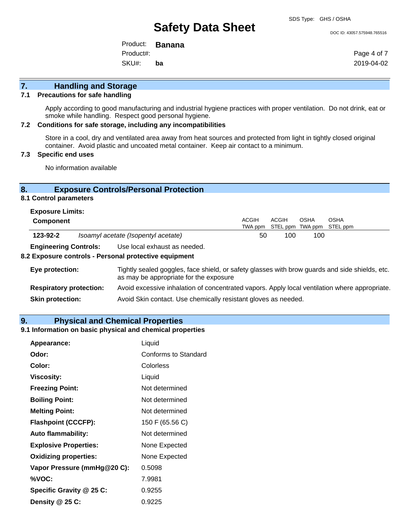SDS Type: GHS / OSHA

#### DOC ID: 43057.575948.765516

Product: **Banana** SKU#: Product#: **ba**

Page 4 of 7 2019-04-02

## **7. Handling and Storage**

#### **7.1 Precautions for safe handling**

Apply according to good manufacturing and industrial hygiene practices with proper ventilation. Do not drink, eat or smoke while handling. Respect good personal hygiene.

#### **7.2 Conditions for safe storage, including any incompatibilities**

Store in a cool, dry and ventilated area away from heat sources and protected from light in tightly closed original container. Avoid plastic and uncoated metal container. Keep air contact to a minimum.

## **7.3 Specific end uses**

No information available

## **8. Exposure Controls/Personal Protection**

## **8.1 Control parameters**

| <b>Exposure Limits:</b> |  |
|-------------------------|--|
|-------------------------|--|

| Component                    |                                     | <b>ACGIH</b> | ACGIH | OSHA | OSHA<br>TWA ppm STEL ppm TWA ppm STEL ppm |
|------------------------------|-------------------------------------|--------------|-------|------|-------------------------------------------|
| 123-92-2                     | Isoamyl acetate (Isopentyl acetate) | 50           | 100   | 100  |                                           |
| <b>Engineering Controls:</b> | Use local exhaust as needed.        |              |       |      |                                           |

#### **8.2 Exposure controls - Personal protective equipment**

| Eye protection:                | Tightly sealed goggles, face shield, or safety glasses with brow guards and side shields, etc.<br>as may be appropriate for the exposure |
|--------------------------------|------------------------------------------------------------------------------------------------------------------------------------------|
| <b>Respiratory protection:</b> | Avoid excessive inhalation of concentrated vapors. Apply local ventilation where appropriate.                                            |
| <b>Skin protection:</b>        | Avoid Skin contact. Use chemically resistant gloves as needed.                                                                           |

#### **9. Physical and Chemical Properties**

### **9.1 Information on basic physical and chemical properties**

| Appearance:                  | Liquid                      |
|------------------------------|-----------------------------|
| Odor:                        | <b>Conforms to Standard</b> |
| Color:                       | Colorless                   |
| Viscosity:                   | Liquid                      |
| <b>Freezing Point:</b>       | Not determined              |
| <b>Boiling Point:</b>        | Not determined              |
| <b>Melting Point:</b>        | Not determined              |
| <b>Flashpoint (CCCFP):</b>   | 150 F (65.56 C)             |
| <b>Auto flammability:</b>    | Not determined              |
| <b>Explosive Properties:</b> | None Expected               |
| <b>Oxidizing properties:</b> | None Expected               |
| Vapor Pressure (mmHg@20 C):  | 0.5098                      |
| %VOC:                        | 7.9981                      |
| Specific Gravity @ 25 C:     | 0.9255                      |
| Density @ 25 C:              | 0.9225                      |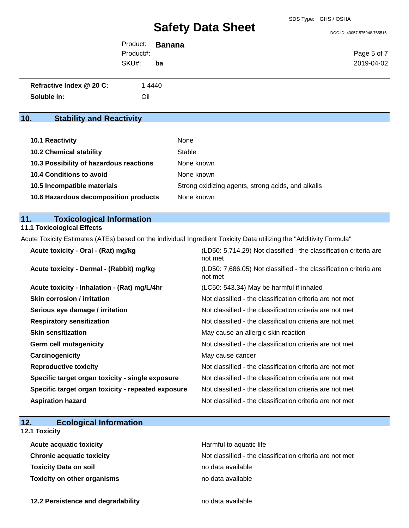DOC ID: 43057.575948.765516

|           | Product: <b>Banana</b> |             |
|-----------|------------------------|-------------|
| Product#: |                        | Page 5 of 7 |
| SKU#:     | ba                     | 2019-04-02  |
|           |                        |             |

| Refractive Index @ 20 C: | 1.4440 |
|--------------------------|--------|
| Soluble in:              | Oil    |

## **10. Stability and Reactivity**

| <b>10.1 Reactivity</b>                  | None                                               |
|-----------------------------------------|----------------------------------------------------|
| <b>10.2 Chemical stability</b>          | Stable                                             |
| 10.3 Possibility of hazardous reactions | None known                                         |
| <b>10.4 Conditions to avoid</b>         | None known                                         |
| 10.5 Incompatible materials             | Strong oxidizing agents, strong acids, and alkalis |
| 10.6 Hazardous decomposition products   | None known                                         |

## **11. Toxicological Information**

## **11.1 Toxicological Effects**

Acute Toxicity Estimates (ATEs) based on the individual Ingredient Toxicity Data utilizing the "Additivity Formula"

| (LD50: 5,714.29) Not classified - the classification criteria are<br>not met |
|------------------------------------------------------------------------------|
| (LD50: 7,686.05) Not classified - the classification criteria are<br>not met |
| (LC50: 543.34) May be harmful if inhaled                                     |
| Not classified - the classification criteria are not met                     |
| Not classified - the classification criteria are not met                     |
| Not classified - the classification criteria are not met                     |
| May cause an allergic skin reaction                                          |
| Not classified - the classification criteria are not met                     |
| May cause cancer                                                             |
| Not classified - the classification criteria are not met                     |
| Not classified - the classification criteria are not met                     |
| Not classified - the classification criteria are not met                     |
| Not classified - the classification criteria are not met                     |
|                                                                              |

| 12. |  | <b>Ecological Information</b> |
|-----|--|-------------------------------|
|-----|--|-------------------------------|

### **12.1 Toxicity**

| <b>Acute acquatic toxicity</b>     | Harmful to aguatic life                                  |
|------------------------------------|----------------------------------------------------------|
| <b>Chronic acquatic toxicity</b>   | Not classified - the classification criteria are not met |
| <b>Toxicity Data on soil</b>       | no data available                                        |
| <b>Toxicity on other organisms</b> | no data available                                        |

**12.2 Persistence and degradability no data available**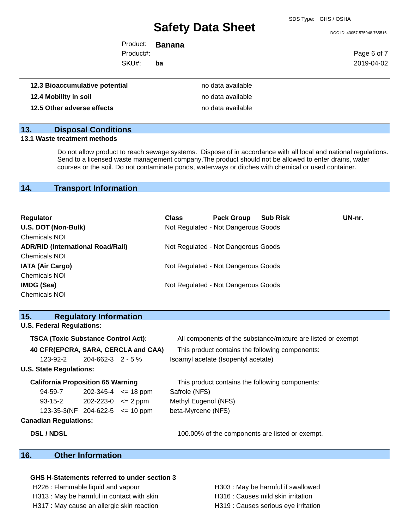DOC ID: 43057.575948.765516

Product: **Banana** SKU#: Product#: **ba**

Page 6 of 7 2019-04-02

| 12.3 Bioaccumulative potential | no data available |
|--------------------------------|-------------------|
| 12.4 Mobility in soil          | no data available |
| 12.5 Other adverse effects     | no data available |

## **13. Disposal Conditions**

## **13.1 Waste treatment methods**

Do not allow product to reach sewage systems. Dispose of in accordance with all local and national regulations. Send to a licensed waste management company.The product should not be allowed to enter drains, water courses or the soil. Do not contaminate ponds, waterways or ditches with chemical or used container.

## **14. Transport Information**

| Regulator                                | <b>Class</b> | <b>Pack Group</b>                   | <b>Sub Risk</b> | UN-nr. |
|------------------------------------------|--------------|-------------------------------------|-----------------|--------|
| U.S. DOT (Non-Bulk)                      |              | Not Regulated - Not Dangerous Goods |                 |        |
| <b>Chemicals NOI</b>                     |              |                                     |                 |        |
| <b>ADR/RID (International Road/Rail)</b> |              | Not Regulated - Not Dangerous Goods |                 |        |
| <b>Chemicals NOI</b>                     |              |                                     |                 |        |
| <b>IATA (Air Cargo)</b>                  |              | Not Regulated - Not Dangerous Goods |                 |        |
| <b>Chemicals NOI</b>                     |              |                                     |                 |        |
| <b>IMDG (Sea)</b>                        |              | Not Regulated - Not Dangerous Goods |                 |        |
| <b>Chemicals NOI</b>                     |              |                                     |                 |        |

| 15.<br><b>Regulatory Information</b>       |                                                              |
|--------------------------------------------|--------------------------------------------------------------|
| <b>U.S. Federal Regulations:</b>           |                                                              |
| <b>TSCA (Toxic Substance Control Act):</b> | All components of the substance/mixture are listed or exempt |
| 40 CFR(EPCRA, SARA, CERCLA and CAA)        | This product contains the following components:              |
| $204 - 662 - 3$ 2 - 5 %<br>123-92-2        | Isoamyl acetate (Isopentyl acetate)                          |
| <b>U.S. State Regulations:</b>             |                                                              |
| <b>California Proposition 65 Warning</b>   | This product contains the following components:              |
| 94-59-7<br>$202 - 345 - 4 \leq 18$ ppm     | Safrole (NFS)                                                |
| $93-15-2$ 202-223-0 $\leq$ 2 ppm           | Methyl Eugenol (NFS)                                         |
| 123-35-3(NF 204-622-5 $\le$ 10 ppm         | beta-Myrcene (NFS)                                           |
| <b>Canadian Regulations:</b>               |                                                              |
| <b>DSL/NDSL</b>                            | 100.00% of the components are listed or exempt.              |
| 16.<br><b>Other Information</b>            |                                                              |

#### **GHS H-Statements referred to under section 3**

- H226 : Flammable liquid and vapour **H**303 : May be harmful if swallowed
- H313 : May be harmful in contact with skin H316 : Causes mild skin irritation
- H317 : May cause an allergic skin reaction **H319** : Causes serious eye irritation
- 
-